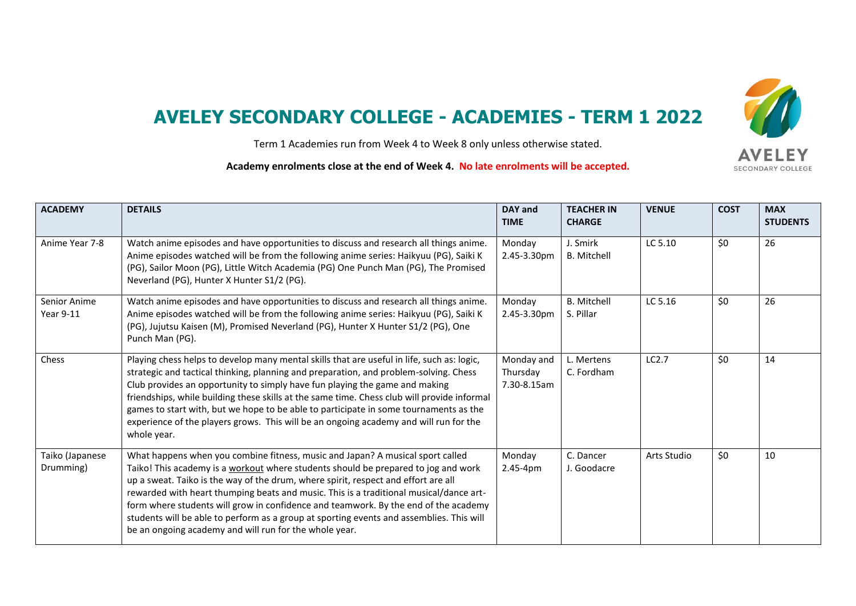## **AVELEY SECONDARY COLLEGE - ACADEMIES - TERM 1 2022**

Term 1 Academies run from Week 4 to Week 8 only unless otherwise stated.

**Academy enrolments close at the end of Week 4. No late enrolments will be accepted.**

| <b>ACADEMY</b>               | <b>DETAILS</b>                                                                                                                                                                                                                                                                                                                                                                                                                                                                                                                                                                                    | DAY and<br><b>TIME</b>                | <b>TEACHER IN</b><br><b>CHARGE</b> | <b>VENUE</b> | <b>COST</b> | <b>MAX</b><br><b>STUDENTS</b> |
|------------------------------|---------------------------------------------------------------------------------------------------------------------------------------------------------------------------------------------------------------------------------------------------------------------------------------------------------------------------------------------------------------------------------------------------------------------------------------------------------------------------------------------------------------------------------------------------------------------------------------------------|---------------------------------------|------------------------------------|--------------|-------------|-------------------------------|
| Anime Year 7-8               | Watch anime episodes and have opportunities to discuss and research all things anime.<br>Anime episodes watched will be from the following anime series: Haikyuu (PG), Saiki K<br>(PG), Sailor Moon (PG), Little Witch Academia (PG) One Punch Man (PG), The Promised<br>Neverland (PG), Hunter X Hunter S1/2 (PG).                                                                                                                                                                                                                                                                               | Monday<br>2.45-3.30pm                 | J. Smirk<br><b>B.</b> Mitchell     | LC 5.10      | \$0         | 26                            |
| Senior Anime<br>Year 9-11    | Watch anime episodes and have opportunities to discuss and research all things anime.<br>Anime episodes watched will be from the following anime series: Haikyuu (PG), Saiki K<br>(PG), Jujutsu Kaisen (M), Promised Neverland (PG), Hunter X Hunter S1/2 (PG), One<br>Punch Man (PG).                                                                                                                                                                                                                                                                                                            | Monday<br>2.45-3.30pm                 | <b>B.</b> Mitchell<br>S. Pillar    | LC 5.16      | \$0         | 26                            |
| Chess                        | Playing chess helps to develop many mental skills that are useful in life, such as: logic,<br>strategic and tactical thinking, planning and preparation, and problem-solving. Chess<br>Club provides an opportunity to simply have fun playing the game and making<br>friendships, while building these skills at the same time. Chess club will provide informal<br>games to start with, but we hope to be able to participate in some tournaments as the<br>experience of the players grows. This will be an ongoing academy and will run for the<br>whole year.                                | Monday and<br>Thursday<br>7.30-8.15am | L. Mertens<br>C. Fordham           | LC2.7        | \$0         | 14                            |
| Taiko (Japanese<br>Drumming) | What happens when you combine fitness, music and Japan? A musical sport called<br>Taiko! This academy is a workout where students should be prepared to jog and work<br>up a sweat. Taiko is the way of the drum, where spirit, respect and effort are all<br>rewarded with heart thumping beats and music. This is a traditional musical/dance art-<br>form where students will grow in confidence and teamwork. By the end of the academy<br>students will be able to perform as a group at sporting events and assemblies. This will<br>be an ongoing academy and will run for the whole year. | Monday<br>$2.45 - 4pm$                | C. Dancer<br>J. Goodacre           | Arts Studio  | \$0         | 10                            |

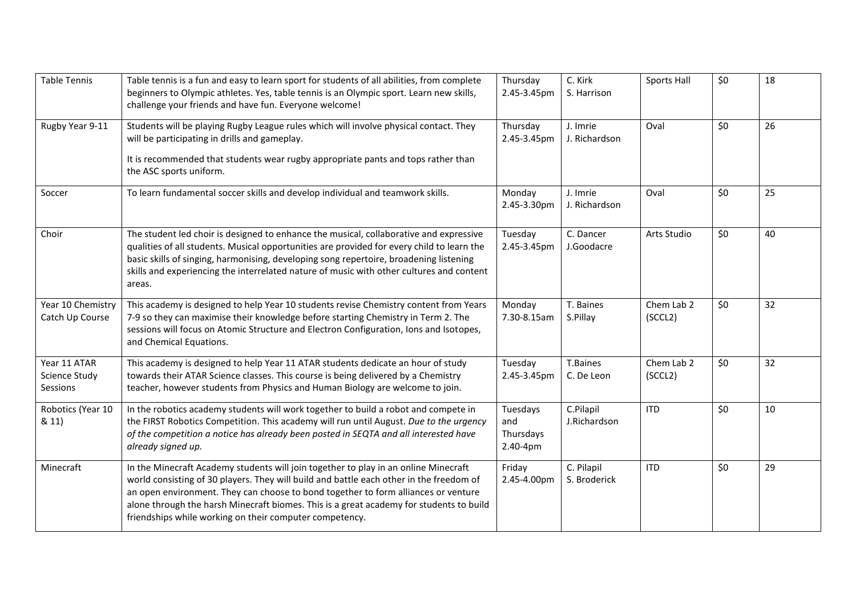| <b>Table Tennis</b>                              | Table tennis is a fun and easy to learn sport for students of all abilities, from complete<br>beginners to Olympic athletes. Yes, table tennis is an Olympic sport. Learn new skills,<br>challenge your friends and have fun. Everyone welcome!                                                                                                                                                                            | Thursday<br>2.45-3.45pm                  | C. Kirk<br>S. Harrison     | Sports Hall           | \$0 | 18 |
|--------------------------------------------------|----------------------------------------------------------------------------------------------------------------------------------------------------------------------------------------------------------------------------------------------------------------------------------------------------------------------------------------------------------------------------------------------------------------------------|------------------------------------------|----------------------------|-----------------------|-----|----|
| Rugby Year 9-11                                  | Students will be playing Rugby League rules which will involve physical contact. They<br>will be participating in drills and gameplay.<br>It is recommended that students wear rugby appropriate pants and tops rather than<br>the ASC sports uniform.                                                                                                                                                                     | Thursday<br>2.45-3.45pm                  | J. Imrie<br>J. Richardson  | Oval                  | \$0 | 26 |
| Soccer                                           | To learn fundamental soccer skills and develop individual and teamwork skills.                                                                                                                                                                                                                                                                                                                                             | Monday<br>2.45-3.30pm                    | J. Imrie<br>J. Richardson  | Oval                  | \$0 | 25 |
| Choir                                            | The student led choir is designed to enhance the musical, collaborative and expressive<br>qualities of all students. Musical opportunities are provided for every child to learn the<br>basic skills of singing, harmonising, developing song repertoire, broadening listening<br>skills and experiencing the interrelated nature of music with other cultures and content<br>areas.                                       | Tuesday<br>2.45-3.45pm                   | C. Dancer<br>J.Goodacre    | Arts Studio           | \$0 | 40 |
| Year 10 Chemistry<br>Catch Up Course             | This academy is designed to help Year 10 students revise Chemistry content from Years<br>7-9 so they can maximise their knowledge before starting Chemistry in Term 2. The<br>sessions will focus on Atomic Structure and Electron Configuration, Ions and Isotopes,<br>and Chemical Equations.                                                                                                                            | Monday<br>7.30-8.15am                    | T. Baines<br>S.Pillay      | Chem Lab 2<br>(SCCL2) | \$0 | 32 |
| Year 11 ATAR<br><b>Science Study</b><br>Sessions | This academy is designed to help Year 11 ATAR students dedicate an hour of study<br>towards their ATAR Science classes. This course is being delivered by a Chemistry<br>teacher, however students from Physics and Human Biology are welcome to join.                                                                                                                                                                     | Tuesday<br>2.45-3.45pm                   | T.Baines<br>C. De Leon     | Chem Lab 2<br>(SCCL2) | \$0 | 32 |
| Robotics (Year 10<br>& 11)                       | In the robotics academy students will work together to build a robot and compete in<br>the FIRST Robotics Competition. This academy will run until August. Due to the urgency<br>of the competition a notice has already been posted in SEQTA and all interested have<br>already signed up.                                                                                                                                | Tuesdays<br>and<br>Thursdays<br>2.40-4pm | C.Pilapil<br>J.Richardson  | <b>ITD</b>            | \$0 | 10 |
| Minecraft                                        | In the Minecraft Academy students will join together to play in an online Minecraft<br>world consisting of 30 players. They will build and battle each other in the freedom of<br>an open environment. They can choose to bond together to form alliances or venture<br>alone through the harsh Minecraft biomes. This is a great academy for students to build<br>friendships while working on their computer competency. | Friday<br>2.45-4.00pm                    | C. Pilapil<br>S. Broderick | <b>ITD</b>            | \$0 | 29 |